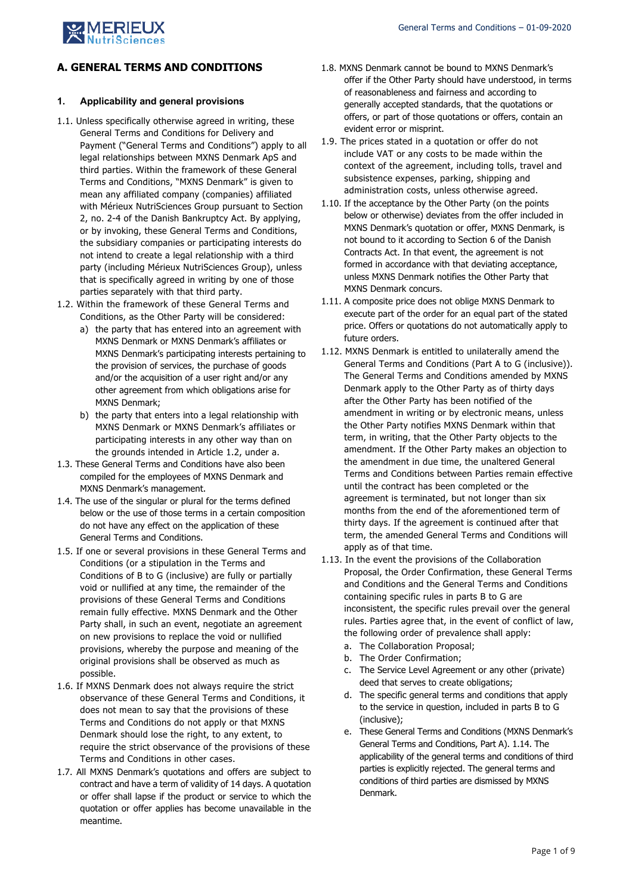

# **A. GENERAL TERMS AND CONDITIONS**

# **1. Applicability and general provisions**

- 1.1. Unless specifically otherwise agreed in writing, these General Terms and Conditions for Delivery and Payment ("General Terms and Conditions") apply to all legal relationships between MXNS Denmark ApS and third parties. Within the framework of these General Terms and Conditions, "MXNS Denmark" is given to mean any affiliated company (companies) affiliated with Mérieux NutriSciences Group pursuant to Section 2, no. 2-4 of the Danish Bankruptcy Act. By applying, or by invoking, these General Terms and Conditions, the subsidiary companies or participating interests do not intend to create a legal relationship with a third party (including Mérieux NutriSciences Group), unless that is specifically agreed in writing by one of those parties separately with that third party.
- 1.2. Within the framework of these General Terms and Conditions, as the Other Party will be considered:
	- a) the party that has entered into an agreement with MXNS Denmark or MXNS Denmark's affiliates or MXNS Denmark's participating interests pertaining to the provision of services, the purchase of goods and/or the acquisition of a user right and/or any other agreement from which obligations arise for MXNS Denmark;
	- b) the party that enters into a legal relationship with MXNS Denmark or MXNS Denmark's affiliates or participating interests in any other way than on the grounds intended in Article 1.2, under a.
- 1.3. These General Terms and Conditions have also been compiled for the employees of MXNS Denmark and MXNS Denmark's management.
- 1.4. The use of the singular or plural for the terms defined below or the use of those terms in a certain composition do not have any effect on the application of these General Terms and Conditions.
- 1.5. If one or several provisions in these General Terms and Conditions (or a stipulation in the Terms and Conditions of B to G (inclusive) are fully or partially void or nullified at any time, the remainder of the provisions of these General Terms and Conditions remain fully effective. MXNS Denmark and the Other Party shall, in such an event, negotiate an agreement on new provisions to replace the void or nullified provisions, whereby the purpose and meaning of the original provisions shall be observed as much as possible.
- 1.6. If MXNS Denmark does not always require the strict observance of these General Terms and Conditions, it does not mean to say that the provisions of these Terms and Conditions do not apply or that MXNS Denmark should lose the right, to any extent, to require the strict observance of the provisions of these Terms and Conditions in other cases.
- 1.7. All MXNS Denmark's quotations and offers are subject to contract and have a term of validity of 14 days. A quotation or offer shall lapse if the product or service to which the quotation or offer applies has become unavailable in the meantime.
- 1.8. MXNS Denmark cannot be bound to MXNS Denmark's offer if the Other Party should have understood, in terms of reasonableness and fairness and according to generally accepted standards, that the quotations or offers, or part of those quotations or offers, contain an evident error or misprint.
- 1.9. The prices stated in a quotation or offer do not include VAT or any costs to be made within the context of the agreement, including tolls, travel and subsistence expenses, parking, shipping and administration costs, unless otherwise agreed.
- 1.10. If the acceptance by the Other Party (on the points below or otherwise) deviates from the offer included in MXNS Denmark's quotation or offer, MXNS Denmark, is not bound to it according to Section 6 of the Danish Contracts Act. In that event, the agreement is not formed in accordance with that deviating acceptance, unless MXNS Denmark notifies the Other Party that MXNS Denmark concurs.
- 1.11. A composite price does not oblige MXNS Denmark to execute part of the order for an equal part of the stated price. Offers or quotations do not automatically apply to future orders.
- 1.12. MXNS Denmark is entitled to unilaterally amend the General Terms and Conditions (Part A to G (inclusive)). The General Terms and Conditions amended by MXNS Denmark apply to the Other Party as of thirty days after the Other Party has been notified of the amendment in writing or by electronic means, unless the Other Party notifies MXNS Denmark within that term, in writing, that the Other Party objects to the amendment. If the Other Party makes an objection to the amendment in due time, the unaltered General Terms and Conditions between Parties remain effective until the contract has been completed or the agreement is terminated, but not longer than six months from the end of the aforementioned term of thirty days. If the agreement is continued after that term, the amended General Terms and Conditions will apply as of that time.
- 1.13. In the event the provisions of the Collaboration Proposal, the Order Confirmation, these General Terms and Conditions and the General Terms and Conditions containing specific rules in parts B to G are inconsistent, the specific rules prevail over the general rules. Parties agree that, in the event of conflict of law, the following order of prevalence shall apply:
	- a. The Collaboration Proposal;
	- b. The Order Confirmation;
	- c. The Service Level Agreement or any other (private) deed that serves to create obligations;
	- d. The specific general terms and conditions that apply to the service in question, included in parts B to G (inclusive);
	- e. These General Terms and Conditions (MXNS Denmark's General Terms and Conditions, Part A). 1.14. The applicability of the general terms and conditions of third parties is explicitly rejected. The general terms and conditions of third parties are dismissed by MXNS Denmark.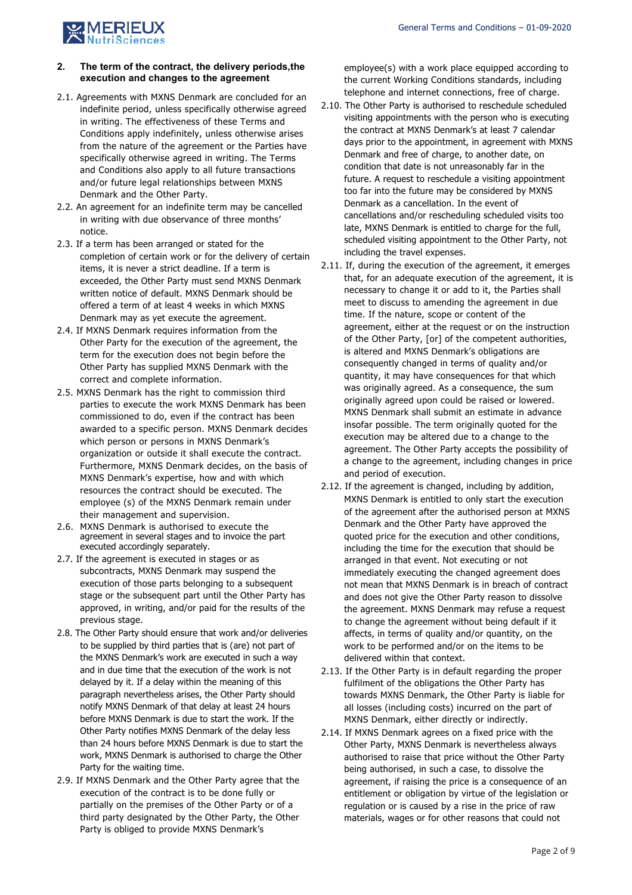

## **2. The term of the contract, the delivery periods,the execution and changes to the agreement**

- 2.1. Agreements with MXNS Denmark are concluded for an indefinite period, unless specifically otherwise agreed in writing. The effectiveness of these Terms and Conditions apply indefinitely, unless otherwise arises from the nature of the agreement or the Parties have specifically otherwise agreed in writing. The Terms and Conditions also apply to all future transactions and/or future legal relationships between MXNS Denmark and the Other Party.
- 2.2. An agreement for an indefinite term may be cancelled in writing with due observance of three months' notice.
- 2.3. If a term has been arranged or stated for the completion of certain work or for the delivery of certain items, it is never a strict deadline. If a term is exceeded, the Other Party must send MXNS Denmark written notice of default. MXNS Denmark should be offered a term of at least 4 weeks in which MXNS Denmark may as yet execute the agreement.
- 2.4. If MXNS Denmark requires information from the Other Party for the execution of the agreement, the term for the execution does not begin before the Other Party has supplied MXNS Denmark with the correct and complete information.
- 2.5. MXNS Denmark has the right to commission third parties to execute the work MXNS Denmark has been commissioned to do, even if the contract has been awarded to a specific person. MXNS Denmark decides which person or persons in MXNS Denmark's organization or outside it shall execute the contract. Furthermore, MXNS Denmark decides, on the basis of MXNS Denmark's expertise, how and with which resources the contract should be executed. The employee (s) of the MXNS Denmark remain under their management and supervision.
- 2.6. MXNS Denmark is authorised to execute the agreement in several stages and to invoice the part executed accordingly separately.
- 2.7. If the agreement is executed in stages or as subcontracts, MXNS Denmark may suspend the execution of those parts belonging to a subsequent stage or the subsequent part until the Other Party has approved, in writing, and/or paid for the results of the previous stage.
- 2.8. The Other Party should ensure that work and/or deliveries to be supplied by third parties that is (are) not part of the MXNS Denmark's work are executed in such a way and in due time that the execution of the work is not delayed by it. If a delay within the meaning of this paragraph nevertheless arises, the Other Party should notify MXNS Denmark of that delay at least 24 hours before MXNS Denmark is due to start the work. If the Other Party notifies MXNS Denmark of the delay less than 24 hours before MXNS Denmark is due to start the work, MXNS Denmark is authorised to charge the Other Party for the waiting time.
- 2.9. If MXNS Denmark and the Other Party agree that the execution of the contract is to be done fully or partially on the premises of the Other Party or of a third party designated by the Other Party, the Other Party is obliged to provide MXNS Denmark's

employee(s) with a work place equipped according to the current Working Conditions standards, including telephone and internet connections, free of charge.

- 2.10. The Other Party is authorised to reschedule scheduled visiting appointments with the person who is executing the contract at MXNS Denmark's at least 7 calendar days prior to the appointment, in agreement with MXNS Denmark and free of charge, to another date, on condition that date is not unreasonably far in the future. A request to reschedule a visiting appointment too far into the future may be considered by MXNS Denmark as a cancellation. In the event of cancellations and/or rescheduling scheduled visits too late, MXNS Denmark is entitled to charge for the full, scheduled visiting appointment to the Other Party, not including the travel expenses.
- 2.11. If, during the execution of the agreement, it emerges that, for an adequate execution of the agreement, it is necessary to change it or add to it, the Parties shall meet to discuss to amending the agreement in due time. If the nature, scope or content of the agreement, either at the request or on the instruction of the Other Party, [or] of the competent authorities, is altered and MXNS Denmark's obligations are consequently changed in terms of quality and/or quantity, it may have consequences for that which was originally agreed. As a consequence, the sum originally agreed upon could be raised or lowered. MXNS Denmark shall submit an estimate in advance insofar possible. The term originally quoted for the execution may be altered due to a change to the agreement. The Other Party accepts the possibility of a change to the agreement, including changes in price and period of execution.
- 2.12. If the agreement is changed, including by addition, MXNS Denmark is entitled to only start the execution of the agreement after the authorised person at MXNS Denmark and the Other Party have approved the quoted price for the execution and other conditions, including the time for the execution that should be arranged in that event. Not executing or not immediately executing the changed agreement does not mean that MXNS Denmark is in breach of contract and does not give the Other Party reason to dissolve the agreement. MXNS Denmark may refuse a request to change the agreement without being default if it affects, in terms of quality and/or quantity, on the work to be performed and/or on the items to be delivered within that context.
- 2.13. If the Other Party is in default regarding the proper fulfilment of the obligations the Other Party has towards MXNS Denmark, the Other Party is liable for all losses (including costs) incurred on the part of MXNS Denmark, either directly or indirectly.
- 2.14. If MXNS Denmark agrees on a fixed price with the Other Party, MXNS Denmark is nevertheless always authorised to raise that price without the Other Party being authorised, in such a case, to dissolve the agreement, if raising the price is a consequence of an entitlement or obligation by virtue of the legislation or regulation or is caused by a rise in the price of raw materials, wages or for other reasons that could not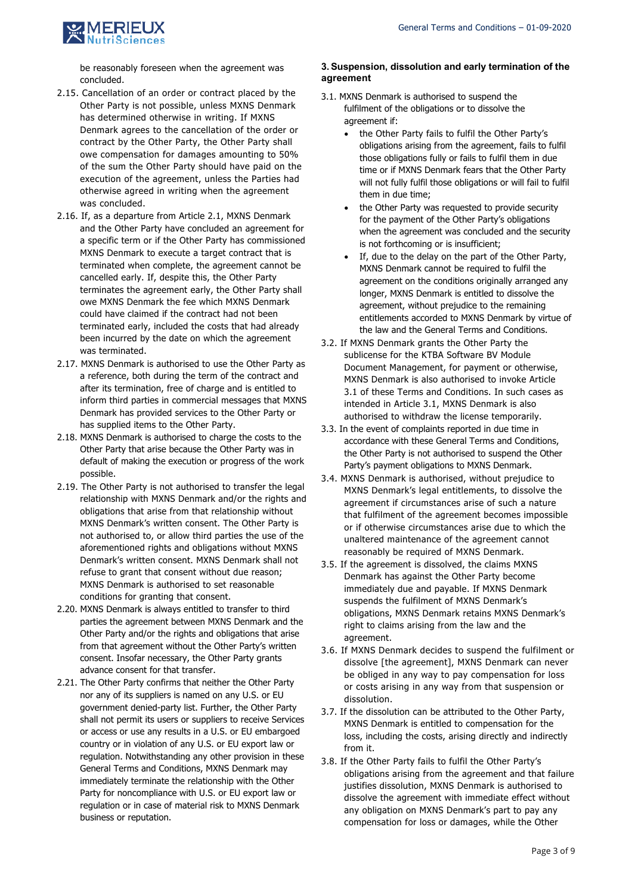

be reasonably foreseen when the agreement was concluded.

- 2.15. Cancellation of an order or contract placed by the Other Party is not possible, unless MXNS Denmark has determined otherwise in writing. If MXNS Denmark agrees to the cancellation of the order or contract by the Other Party, the Other Party shall owe compensation for damages amounting to 50% of the sum the Other Party should have paid on the execution of the agreement, unless the Parties had otherwise agreed in writing when the agreement was concluded.
- 2.16. If, as a departure from Article 2.1, MXNS Denmark and the Other Party have concluded an agreement for a specific term or if the Other Party has commissioned MXNS Denmark to execute a target contract that is terminated when complete, the agreement cannot be cancelled early. If, despite this, the Other Party terminates the agreement early, the Other Party shall owe MXNS Denmark the fee which MXNS Denmark could have claimed if the contract had not been terminated early, included the costs that had already been incurred by the date on which the agreement was terminated.
- 2.17. MXNS Denmark is authorised to use the Other Party as a reference, both during the term of the contract and after its termination, free of charge and is entitled to inform third parties in commercial messages that MXNS Denmark has provided services to the Other Party or has supplied items to the Other Party.
- 2.18. MXNS Denmark is authorised to charge the costs to the Other Party that arise because the Other Party was in default of making the execution or progress of the work possible.
- 2.19. The Other Party is not authorised to transfer the legal relationship with MXNS Denmark and/or the rights and obligations that arise from that relationship without MXNS Denmark's written consent. The Other Party is not authorised to, or allow third parties the use of the aforementioned rights and obligations without MXNS Denmark's written consent. MXNS Denmark shall not refuse to grant that consent without due reason; MXNS Denmark is authorised to set reasonable conditions for granting that consent.
- 2.20. MXNS Denmark is always entitled to transfer to third parties the agreement between MXNS Denmark and the Other Party and/or the rights and obligations that arise from that agreement without the Other Party's written consent. Insofar necessary, the Other Party grants advance consent for that transfer.
- 2.21. The Other Party confirms that neither the Other Party nor any of its suppliers is named on any U.S. or EU government denied-party list. Further, the Other Party shall not permit its users or suppliers to receive Services or access or use any results in a U.S. or EU embargoed country or in violation of any U.S. or EU export law or regulation. Notwithstanding any other provision in these General Terms and Conditions, MXNS Denmark may immediately terminate the relationship with the Other Party for noncompliance with U.S. or EU export law or regulation or in case of material risk to MXNS Denmark business or reputation.

#### **3.Suspension, dissolution and early termination of the agreement**

- 3.1. MXNS Denmark is authorised to suspend the fulfilment of the obligations or to dissolve the agreement if:
	- the Other Party fails to fulfil the Other Party's obligations arising from the agreement, fails to fulfil those obligations fully or fails to fulfil them in due time or if MXNS Denmark fears that the Other Party will not fully fulfil those obligations or will fail to fulfil them in due time;
	- the Other Party was requested to provide security for the payment of the Other Party's obligations when the agreement was concluded and the security is not forthcoming or is insufficient;
	- If, due to the delay on the part of the Other Party, MXNS Denmark cannot be required to fulfil the agreement on the conditions originally arranged any longer, MXNS Denmark is entitled to dissolve the agreement, without prejudice to the remaining entitlements accorded to MXNS Denmark by virtue of the law and the General Terms and Conditions.
- 3.2. If MXNS Denmark grants the Other Party the sublicense for the KTBA Software BV Module Document Management, for payment or otherwise, MXNS Denmark is also authorised to invoke Article 3.1 of these Terms and Conditions. In such cases as intended in Article 3.1, MXNS Denmark is also authorised to withdraw the license temporarily.
- 3.3. In the event of complaints reported in due time in accordance with these General Terms and Conditions, the Other Party is not authorised to suspend the Other Party's payment obligations to MXNS Denmark.
- 3.4. MXNS Denmark is authorised, without prejudice to MXNS Denmark's legal entitlements, to dissolve the agreement if circumstances arise of such a nature that fulfilment of the agreement becomes impossible or if otherwise circumstances arise due to which the unaltered maintenance of the agreement cannot reasonably be required of MXNS Denmark.
- 3.5. If the agreement is dissolved, the claims MXNS Denmark has against the Other Party become immediately due and payable. If MXNS Denmark suspends the fulfilment of MXNS Denmark's obligations, MXNS Denmark retains MXNS Denmark's right to claims arising from the law and the agreement.
- 3.6. If MXNS Denmark decides to suspend the fulfilment or dissolve [the agreement], MXNS Denmark can never be obliged in any way to pay compensation for loss or costs arising in any way from that suspension or dissolution.
- 3.7. If the dissolution can be attributed to the Other Party, MXNS Denmark is entitled to compensation for the loss, including the costs, arising directly and indirectly from it.
- 3.8. If the Other Party fails to fulfil the Other Party's obligations arising from the agreement and that failure justifies dissolution, MXNS Denmark is authorised to dissolve the agreement with immediate effect without any obligation on MXNS Denmark's part to pay any compensation for loss or damages, while the Other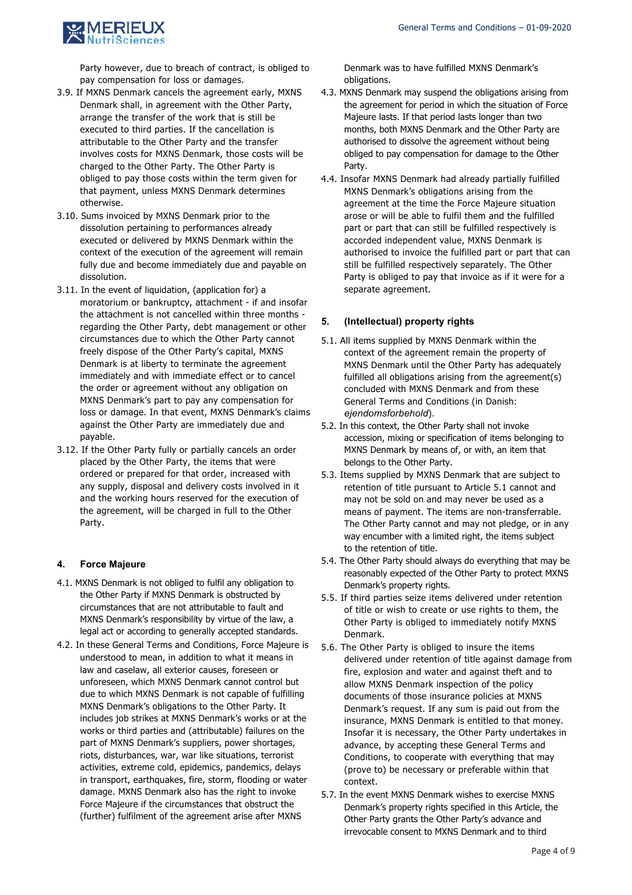

Party however, due to breach of contract, is obliged to pay compensation for loss or damages.

- 3.9. If MXNS Denmark cancels the agreement early, MXNS Denmark shall, in agreement with the Other Party, arrange the transfer of the work that is still be executed to third parties. If the cancellation is attributable to the Other Party and the transfer involves costs for MXNS Denmark, those costs will be charged to the Other Party. The Other Party is obliged to pay those costs within the term given for that payment, unless MXNS Denmark determines otherwise.
- 3.10. Sums invoiced by MXNS Denmark prior to the dissolution pertaining to performances already executed or delivered by MXNS Denmark within the context of the execution of the agreement will remain fully due and become immediately due and payable on dissolution.
- 3.11. In the event of liquidation, (application for) a moratorium or bankruptcy, attachment - if and insofar the attachment is not cancelled within three months regarding the Other Party, debt management or other circumstances due to which the Other Party cannot freely dispose of the Other Party's capital, MXNS Denmark is at liberty to terminate the agreement immediately and with immediate effect or to cancel the order or agreement without any obligation on MXNS Denmark's part to pay any compensation for loss or damage. In that event, MXNS Denmark's claims against the Other Party are immediately due and payable.
- 3.12. If the Other Party fully or partially cancels an order placed by the Other Party, the items that were ordered or prepared for that order, increased with any supply, disposal and delivery costs involved in it and the working hours reserved for the execution of the agreement, will be charged in full to the Other Party.

# **4. Force Majeure**

- 4.1. MXNS Denmark is not obliged to fulfil any obligation to the Other Party if MXNS Denmark is obstructed by circumstances that are not attributable to fault and MXNS Denmark's responsibility by virtue of the law, a legal act or according to generally accepted standards.
- 4.2. In these General Terms and Conditions, Force Majeure is understood to mean, in addition to what it means in law and caselaw, all exterior causes, foreseen or unforeseen, which MXNS Denmark cannot control but due to which MXNS Denmark is not capable of fulfilling MXNS Denmark's obligations to the Other Party. It includes job strikes at MXNS Denmark's works or at the works or third parties and (attributable) failures on the part of MXNS Denmark's suppliers, power shortages, riots, disturbances, war, war like situations, terrorist activities, extreme cold, epidemics, pandemics, delays in transport, earthquakes, fire, storm, flooding or water damage. MXNS Denmark also has the right to invoke Force Majeure if the circumstances that obstruct the (further) fulfilment of the agreement arise after MXNS

Denmark was to have fulfilled MXNS Denmark's obligations.

- 4.3. MXNS Denmark may suspend the obligations arising from the agreement for period in which the situation of Force Majeure lasts. If that period lasts longer than two months, both MXNS Denmark and the Other Party are authorised to dissolve the agreement without being obliged to pay compensation for damage to the Other Party.
- 4.4. Insofar MXNS Denmark had already partially fulfilled MXNS Denmark's obligations arising from the agreement at the time the Force Majeure situation arose or will be able to fulfil them and the fulfilled part or part that can still be fulfilled respectively is accorded independent value, MXNS Denmark is authorised to invoice the fulfilled part or part that can still be fulfilled respectively separately. The Other Party is obliged to pay that invoice as if it were for a separate agreement.

### **5. (Intellectual) property rights**

- 5.1. All items supplied by MXNS Denmark within the context of the agreement remain the property of MXNS Denmark until the Other Party has adequately fulfilled all obligations arising from the agreement(s) concluded with MXNS Denmark and from these General Terms and Conditions (in Danish: *ejendomsforbehold*).
- 5.2. In this context, the Other Party shall not invoke accession, mixing or specification of items belonging to MXNS Denmark by means of, or with, an item that belongs to the Other Party.
- 5.3. Items supplied by MXNS Denmark that are subject to retention of title pursuant to Article 5.1 cannot and may not be sold on and may never be used as a means of payment. The items are non-transferrable. The Other Party cannot and may not pledge, or in any way encumber with a limited right, the items subject to the retention of title.
- 5.4. The Other Party should always do everything that may be reasonably expected of the Other Party to protect MXNS Denmark's property rights.
- 5.5. If third parties seize items delivered under retention of title or wish to create or use rights to them, the Other Party is obliged to immediately notify MXNS Denmark.
- 5.6. The Other Party is obliged to insure the items delivered under retention of title against damage from fire, explosion and water and against theft and to allow MXNS Denmark inspection of the policy documents of those insurance policies at MXNS Denmark's request. If any sum is paid out from the insurance, MXNS Denmark is entitled to that money. Insofar it is necessary, the Other Party undertakes in advance, by accepting these General Terms and Conditions, to cooperate with everything that may (prove to) be necessary or preferable within that context.
- 5.7. In the event MXNS Denmark wishes to exercise MXNS Denmark's property rights specified in this Article, the Other Party grants the Other Party's advance and irrevocable consent to MXNS Denmark and to third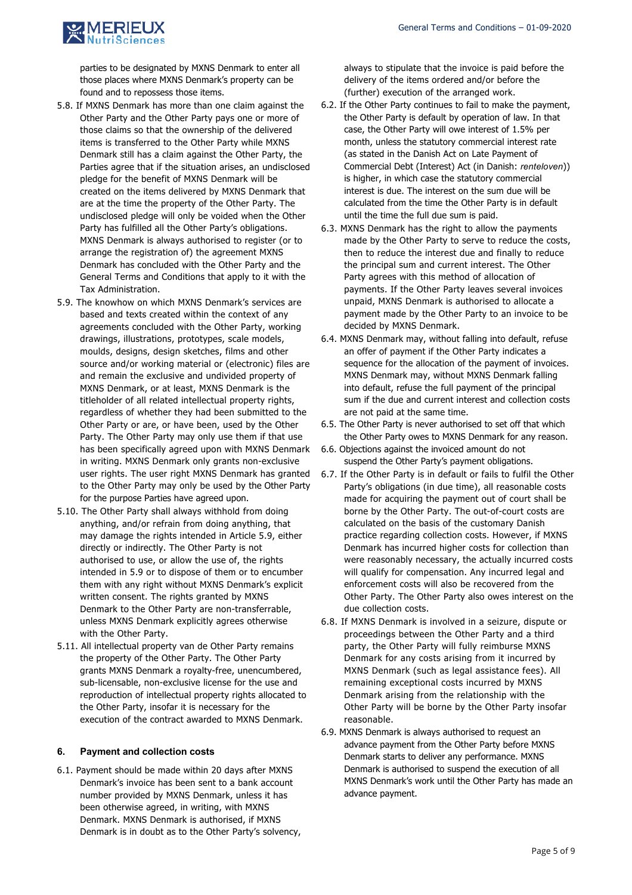

parties to be designated by MXNS Denmark to enter all those places where MXNS Denmark's property can be found and to repossess those items.

- 5.8. If MXNS Denmark has more than one claim against the Other Party and the Other Party pays one or more of those claims so that the ownership of the delivered items is transferred to the Other Party while MXNS Denmark still has a claim against the Other Party, the Parties agree that if the situation arises, an undisclosed pledge for the benefit of MXNS Denmark will be created on the items delivered by MXNS Denmark that are at the time the property of the Other Party. The undisclosed pledge will only be voided when the Other Party has fulfilled all the Other Party's obligations. MXNS Denmark is always authorised to register (or to arrange the registration of) the agreement MXNS Denmark has concluded with the Other Party and the General Terms and Conditions that apply to it with the Tax Administration.
- 5.9. The knowhow on which MXNS Denmark's services are based and texts created within the context of any agreements concluded with the Other Party, working drawings, illustrations, prototypes, scale models, moulds, designs, design sketches, films and other source and/or working material or (electronic) files are and remain the exclusive and undivided property of MXNS Denmark, or at least, MXNS Denmark is the titleholder of all related intellectual property rights, regardless of whether they had been submitted to the Other Party or are, or have been, used by the Other Party. The Other Party may only use them if that use has been specifically agreed upon with MXNS Denmark in writing. MXNS Denmark only grants non-exclusive user rights. The user right MXNS Denmark has granted to the Other Party may only be used by the Other Party for the purpose Parties have agreed upon.
- 5.10. The Other Party shall always withhold from doing anything, and/or refrain from doing anything, that may damage the rights intended in Article 5.9, either directly or indirectly. The Other Party is not authorised to use, or allow the use of, the rights intended in 5.9 or to dispose of them or to encumber them with any right without MXNS Denmark's explicit written consent. The rights granted by MXNS Denmark to the Other Party are non-transferrable, unless MXNS Denmark explicitly agrees otherwise with the Other Party.
- 5.11. All intellectual property van de Other Party remains the property of the Other Party. The Other Party grants MXNS Denmark a royalty-free, unencumbered, sub-licensable, non-exclusive license for the use and reproduction of intellectual property rights allocated to the Other Party, insofar it is necessary for the execution of the contract awarded to MXNS Denmark.

#### **6. Payment and collection costs**

6.1. Payment should be made within 20 days after MXNS Denmark's invoice has been sent to a bank account number provided by MXNS Denmark, unless it has been otherwise agreed, in writing, with MXNS Denmark. MXNS Denmark is authorised, if MXNS Denmark is in doubt as to the Other Party's solvency, always to stipulate that the invoice is paid before the delivery of the items ordered and/or before the (further) execution of the arranged work.

- 6.2. If the Other Party continues to fail to make the payment, the Other Party is default by operation of law. In that case, the Other Party will owe interest of 1.5% per month, unless the statutory commercial interest rate (as stated in the Danish Act on Late Payment of Commercial Debt (Interest) Act (in Danish: *renteloven*)) is higher, in which case the statutory commercial interest is due. The interest on the sum due will be calculated from the time the Other Party is in default until the time the full due sum is paid.
- 6.3. MXNS Denmark has the right to allow the payments made by the Other Party to serve to reduce the costs, then to reduce the interest due and finally to reduce the principal sum and current interest. The Other Party agrees with this method of allocation of payments. If the Other Party leaves several invoices unpaid, MXNS Denmark is authorised to allocate a payment made by the Other Party to an invoice to be decided by MXNS Denmark.
- 6.4. MXNS Denmark may, without falling into default, refuse an offer of payment if the Other Party indicates a sequence for the allocation of the payment of invoices. MXNS Denmark may, without MXNS Denmark falling into default, refuse the full payment of the principal sum if the due and current interest and collection costs are not paid at the same time.
- 6.5. The Other Party is never authorised to set off that which the Other Party owes to MXNS Denmark for any reason.
- 6.6. Objections against the invoiced amount do not suspend the Other Party's payment obligations.
- 6.7. If the Other Party is in default or fails to fulfil the Other Party's obligations (in due time), all reasonable costs made for acquiring the payment out of court shall be borne by the Other Party. The out-of-court costs are calculated on the basis of the customary Danish practice regarding collection costs. However, if MXNS Denmark has incurred higher costs for collection than were reasonably necessary, the actually incurred costs will qualify for compensation. Any incurred legal and enforcement costs will also be recovered from the Other Party. The Other Party also owes interest on the due collection costs.
- 6.8. If MXNS Denmark is involved in a seizure, dispute or proceedings between the Other Party and a third party, the Other Party will fully reimburse MXNS Denmark for any costs arising from it incurred by MXNS Denmark (such as legal assistance fees). All remaining exceptional costs incurred by MXNS Denmark arising from the relationship with the Other Party will be borne by the Other Party insofar reasonable.
- 6.9. MXNS Denmark is always authorised to request an advance payment from the Other Party before MXNS Denmark starts to deliver any performance. MXNS Denmark is authorised to suspend the execution of all MXNS Denmark's work until the Other Party has made an advance payment.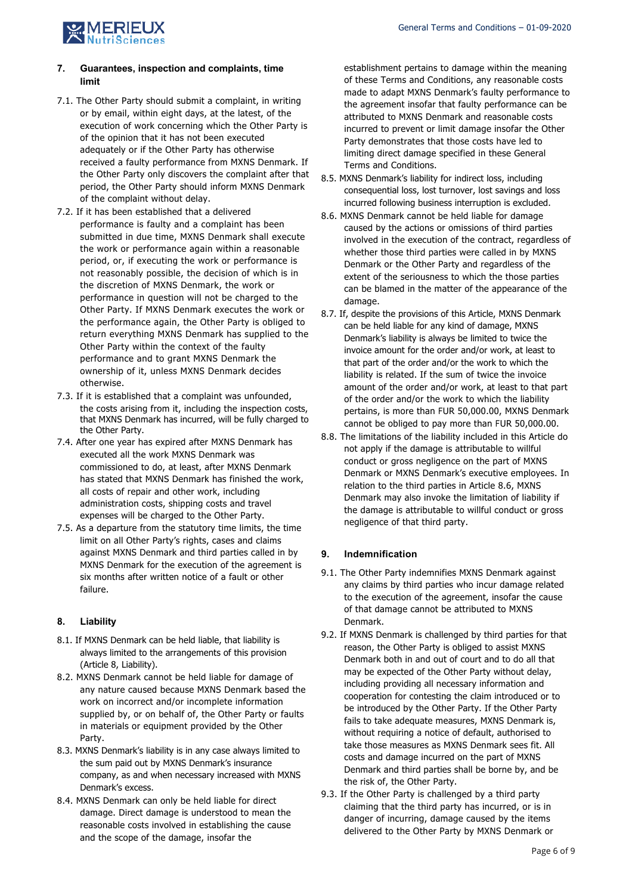

# **7. Guarantees, inspection and complaints, time limit**

- 7.1. The Other Party should submit a complaint, in writing or by email, within eight days, at the latest, of the execution of work concerning which the Other Party is of the opinion that it has not been executed adequately or if the Other Party has otherwise received a faulty performance from MXNS Denmark. If the Other Party only discovers the complaint after that period, the Other Party should inform MXNS Denmark of the complaint without delay.
- 7.2. If it has been established that a delivered performance is faulty and a complaint has been submitted in due time, MXNS Denmark shall execute the work or performance again within a reasonable period, or, if executing the work or performance is not reasonably possible, the decision of which is in the discretion of MXNS Denmark, the work or performance in question will not be charged to the Other Party. If MXNS Denmark executes the work or the performance again, the Other Party is obliged to return everything MXNS Denmark has supplied to the Other Party within the context of the faulty performance and to grant MXNS Denmark the ownership of it, unless MXNS Denmark decides otherwise.
- 7.3. If it is established that a complaint was unfounded, the costs arising from it, including the inspection costs, that MXNS Denmark has incurred, will be fully charged to the Other Party.
- 7.4. After one year has expired after MXNS Denmark has executed all the work MXNS Denmark was commissioned to do, at least, after MXNS Denmark has stated that MXNS Denmark has finished the work, all costs of repair and other work, including administration costs, shipping costs and travel expenses will be charged to the Other Party.
- 7.5. As a departure from the statutory time limits, the time limit on all Other Party's rights, cases and claims against MXNS Denmark and third parties called in by MXNS Denmark for the execution of the agreement is six months after written notice of a fault or other failure.

# **8. Liability**

- 8.1. If MXNS Denmark can be held liable, that liability is always limited to the arrangements of this provision (Article 8, Liability).
- 8.2. MXNS Denmark cannot be held liable for damage of any nature caused because MXNS Denmark based the work on incorrect and/or incomplete information supplied by, or on behalf of, the Other Party or faults in materials or equipment provided by the Other Party.
- 8.3. MXNS Denmark's liability is in any case always limited to the sum paid out by MXNS Denmark's insurance company, as and when necessary increased with MXNS Denmark's excess.
- 8.4. MXNS Denmark can only be held liable for direct damage. Direct damage is understood to mean the reasonable costs involved in establishing the cause and the scope of the damage, insofar the

establishment pertains to damage within the meaning of these Terms and Conditions, any reasonable costs made to adapt MXNS Denmark's faulty performance to the agreement insofar that faulty performance can be attributed to MXNS Denmark and reasonable costs incurred to prevent or limit damage insofar the Other Party demonstrates that those costs have led to limiting direct damage specified in these General Terms and Conditions.

- 8.5. MXNS Denmark's liability for indirect loss, including consequential loss, lost turnover, lost savings and loss incurred following business interruption is excluded.
- 8.6. MXNS Denmark cannot be held liable for damage caused by the actions or omissions of third parties involved in the execution of the contract, regardless of whether those third parties were called in by MXNS Denmark or the Other Party and regardless of the extent of the seriousness to which the those parties can be blamed in the matter of the appearance of the damage.
- 8.7. If, despite the provisions of this Article, MXNS Denmark can be held liable for any kind of damage, MXNS Denmark's liability is always be limited to twice the invoice amount for the order and/or work, at least to that part of the order and/or the work to which the liability is related. If the sum of twice the invoice amount of the order and/or work, at least to that part of the order and/or the work to which the liability pertains, is more than FUR 50,000.00, MXNS Denmark cannot be obliged to pay more than FUR 50,000.00.
- 8.8. The limitations of the liability included in this Article do not apply if the damage is attributable to willful conduct or gross negligence on the part of MXNS Denmark or MXNS Denmark's executive employees. In relation to the third parties in Article 8.6, MXNS Denmark may also invoke the limitation of liability if the damage is attributable to willful conduct or gross negligence of that third party.

# **9. Indemnification**

- 9.1. The Other Party indemnifies MXNS Denmark against any claims by third parties who incur damage related to the execution of the agreement, insofar the cause of that damage cannot be attributed to MXNS Denmark.
- 9.2. If MXNS Denmark is challenged by third parties for that reason, the Other Party is obliged to assist MXNS Denmark both in and out of court and to do all that may be expected of the Other Party without delay, including providing all necessary information and cooperation for contesting the claim introduced or to be introduced by the Other Party. If the Other Party fails to take adequate measures, MXNS Denmark is, without requiring a notice of default, authorised to take those measures as MXNS Denmark sees fit. All costs and damage incurred on the part of MXNS Denmark and third parties shall be borne by, and be the risk of, the Other Party.
- 9.3. If the Other Party is challenged by a third party claiming that the third party has incurred, or is in danger of incurring, damage caused by the items delivered to the Other Party by MXNS Denmark or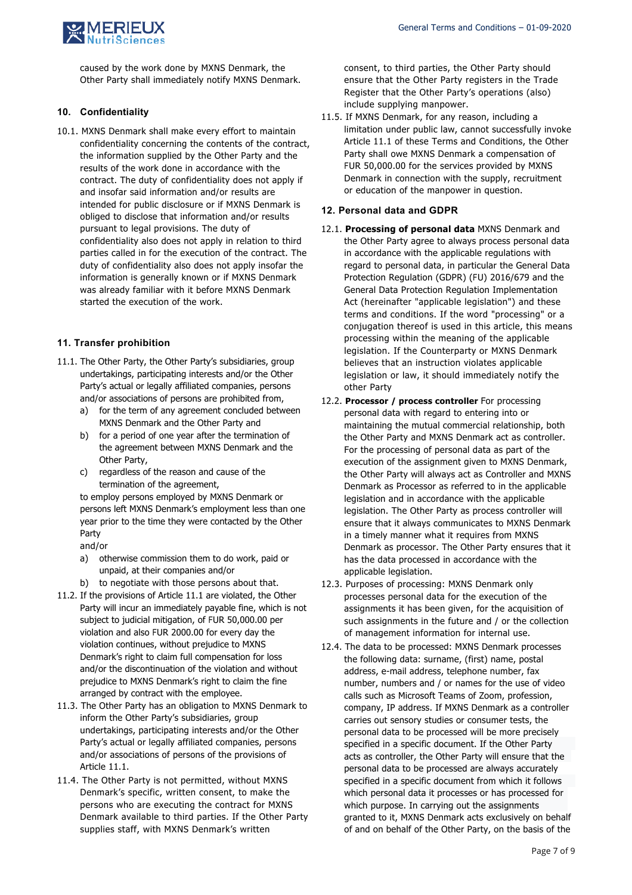

caused by the work done by MXNS Denmark, the Other Party shall immediately notify MXNS Denmark.

### **10. Confidentiality**

10.1. MXNS Denmark shall make every effort to maintain confidentiality concerning the contents of the contract, the information supplied by the Other Party and the results of the work done in accordance with the contract. The duty of confidentiality does not apply if and insofar said information and/or results are intended for public disclosure or if MXNS Denmark is obliged to disclose that information and/or results pursuant to legal provisions. The duty of confidentiality also does not apply in relation to third parties called in for the execution of the contract. The duty of confidentiality also does not apply insofar the information is generally known or if MXNS Denmark was already familiar with it before MXNS Denmark started the execution of the work.

## **11. Transfer prohibition**

- 11.1. The Other Party, the Other Party's subsidiaries, group undertakings, participating interests and/or the Other Party's actual or legally affiliated companies, persons and/or associations of persons are prohibited from,
	- a) for the term of any agreement concluded between MXNS Denmark and the Other Party and
	- b) for a period of one year after the termination of the agreement between MXNS Denmark and the Other Party,
	- c) regardless of the reason and cause of the termination of the agreement,

to employ persons employed by MXNS Denmark or persons left MXNS Denmark's employment less than one year prior to the time they were contacted by the Other Party

and/or

- a) otherwise commission them to do work, paid or unpaid, at their companies and/or
- b) to negotiate with those persons about that.
- 11.2. If the provisions of Article 11.1 are violated, the Other Party will incur an immediately payable fine, which is not subject to judicial mitigation, of FUR 50,000.00 per violation and also FUR 2000.00 for every day the violation continues, without prejudice to MXNS Denmark's right to claim full compensation for loss and/or the discontinuation of the violation and without prejudice to MXNS Denmark's right to claim the fine arranged by contract with the employee.
- 11.3. The Other Party has an obligation to MXNS Denmark to inform the Other Party's subsidiaries, group undertakings, participating interests and/or the Other Party's actual or legally affiliated companies, persons and/or associations of persons of the provisions of Article 11.1.
- 11.4. The Other Party is not permitted, without MXNS Denmark's specific, written consent, to make the persons who are executing the contract for MXNS Denmark available to third parties. If the Other Party supplies staff, with MXNS Denmark's written

consent, to third parties, the Other Party should ensure that the Other Party registers in the Trade Register that the Other Party's operations (also) include supplying manpower.

11.5. If MXNS Denmark, for any reason, including a limitation under public law, cannot successfully invoke Article 11.1 of these Terms and Conditions, the Other Party shall owe MXNS Denmark a compensation of FUR 50,000.00 for the services provided by MXNS Denmark in connection with the supply, recruitment or education of the manpower in question.

#### **12. Personal data and GDPR**

- 12.1. **Processing of personal data** MXNS Denmark and the Other Party agree to always process personal data in accordance with the applicable regulations with regard to personal data, in particular the General Data Protection Regulation (GDPR) (FU) 2016/679 and the General Data Protection Regulation Implementation Act (hereinafter "applicable legislation") and these terms and conditions. If the word "processing" or a conjugation thereof is used in this article, this means processing within the meaning of the applicable legislation. If the Counterparty or MXNS Denmark believes that an instruction violates applicable legislation or law, it should immediately notify the other Party
- 12.2. **Processor / process controller** For processing personal data with regard to entering into or maintaining the mutual commercial relationship, both the Other Party and MXNS Denmark act as controller. For the processing of personal data as part of the execution of the assignment given to MXNS Denmark, the Other Party will always act as Controller and MXNS Denmark as Processor as referred to in the applicable legislation and in accordance with the applicable legislation. The Other Party as process controller will ensure that it always communicates to MXNS Denmark in a timely manner what it requires from MXNS Denmark as processor. The Other Party ensures that it has the data processed in accordance with the applicable legislation.
- 12.3. Purposes of processing: MXNS Denmark only processes personal data for the execution of the assignments it has been given, for the acquisition of such assignments in the future and / or the collection of management information for internal use.
- 12.4. The data to be processed: MXNS Denmark processes the following data: surname, (first) name, postal address, e-mail address, telephone number, fax number, numbers and / or names for the use of video calls such as Microsoft Teams of Zoom, profession, company, IP address. If MXNS Denmark as a controller carries out sensory studies or consumer tests, the personal data to be processed will be more precisely specified in a specific document. If the Other Party acts as controller, the Other Party will ensure that the personal data to be processed are always accurately specified in a specific document from which it follows which personal data it processes or has processed for which purpose. In carrying out the assignments granted to it, MXNS Denmark acts exclusively on behalf of and on behalf of the Other Party, on the basis of the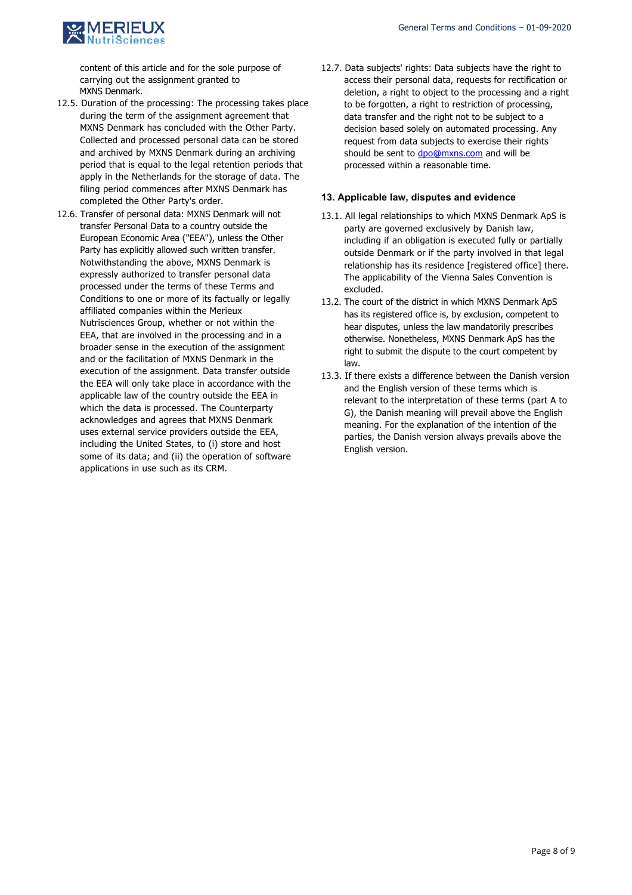

content of this article and for the sole purpose of carrying out the assignment granted to MXNS Denmark.

- 12.5. Duration of the processing: The processing takes place during the term of the assignment agreement that MXNS Denmark has concluded with the Other Party. Collected and processed personal data can be stored and archived by MXNS Denmark during an archiving period that is equal to the legal retention periods that apply in the Netherlands for the storage of data. The filing period commences after MXNS Denmark has completed the Other Party's order.
- 12.6. Transfer of personal data: MXNS Denmark will not transfer Personal Data to a country outside the European Economic Area ("EEA"), unless the Other Party has explicitly allowed such written transfer. Notwithstanding the above, MXNS Denmark is expressly authorized to transfer personal data processed under the terms of these Terms and Conditions to one or more of its factually or legally affiliated companies within the Merieux Nutrisciences Group, whether or not within the EEA, that are involved in the processing and in a broader sense in the execution of the assignment and or the facilitation of MXNS Denmark in the execution of the assignment. Data transfer outside the EEA will only take place in accordance with the applicable law of the country outside the EEA in which the data is processed. The Counterparty acknowledges and agrees that MXNS Denmark uses external service providers outside the EEA, including the United States, to (i) store and host some of its data; and (ii) the operation of software applications in use such as its CRM.
- 12.7. Data subjects' rights: Data subjects have the right to access their personal data, requests for rectification or deletion, a right to object to the processing and a right to be forgotten, a right to restriction of processing, data transfer and the right not to be subject to a decision based solely on automated processing. Any request from data subjects to exercise their rights should be sent to dpo@mxns.com and will be processed within a reasonable time.

### **13. Applicable law, disputes and evidence**

- 13.1. All legal relationships to which MXNS Denmark ApS is party are governed exclusively by Danish law, including if an obligation is executed fully or partially outside Denmark or if the party involved in that legal relationship has its residence [registered office] there. The applicability of the Vienna Sales Convention is excluded.
- 13.2. The court of the district in which MXNS Denmark ApS has its registered office is, by exclusion, competent to hear disputes, unless the law mandatorily prescribes otherwise. Nonetheless, MXNS Denmark ApS has the right to submit the dispute to the court competent by law.
- 13.3. If there exists a difference between the Danish version and the English version of these terms which is relevant to the interpretation of these terms (part A to G), the Danish meaning will prevail above the English meaning. For the explanation of the intention of the parties, the Danish version always prevails above the English version.